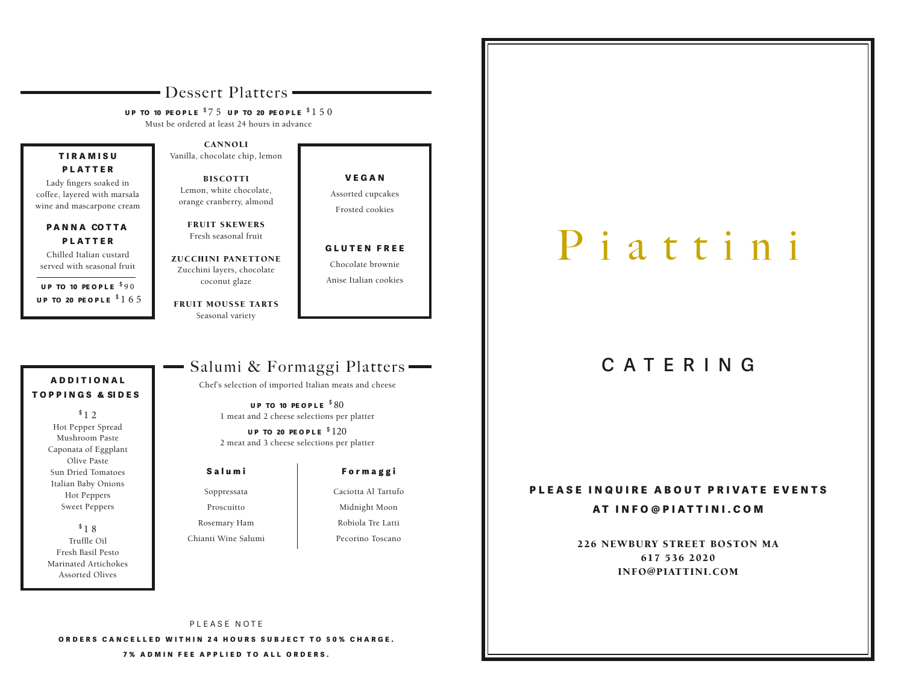# - Dessert Platters -

UP TO 10 PEOPLE  $$75$  UP TO 20 PEOPLE  $$150$ 

Must be ordered at least 24 hours in advance

## TIRAMISU **PLATTER**

Lady fingers soaked in coffee, layered with marsala wine and mascarpone cream

#### PANNA COTTA **PLATTER**

Chilled Italian custard served with seasonal fruit

UP TO 10 PEOPLE  $$90$ UP TO 20 PEOPLE  $$165$ 

CANNOLI Vanilla, chocolate chip, lemon

BISCOTTI Lemon, white chocolate, orange cranberry, almond

FRUIT SKEWERS Fresh seasonal fruit

ZUCCHINI PANETTONE Zucchini layers, chocolate coconut glaze

FRUIT MOUSSE TARTS Seasonal variety

V E G A N Assorted cupcakes Frosted cookies

GLUTEN FREE Chocolate brownie Anise Italian cookies

# ADDITIONAL T O P P I N G S & SI D E S

 $$12$ Hot Pepper Spread Mushroom Paste Caponata of Eggplant Olive Paste Sun Dried Tomatoes Italian Baby Onions Hot Peppers Sweet Peppers

 $$18$ Truffle Oil Fresh Basil Pesto Marinated Artichokes Assorted Olives

# Salumi & Formaggi Platters

Chef's selection of imported Italian meats and cheese

UP TO 10 PEOPLE  $$80$ 1 meat and 2 cheese selections per platter

UP TO 20 PEOPLE  $$120$ 2 meat and 3 cheese selections per platter

#### Salumi

Soppressata Proscuitto Rosemary Ham

Chianti Wine Salumi

# Formaggi

Caciotta Al Tartufo Midnight Moon Robiola Tre Latti Pecorino Toscano

# P i a t t i n i

# CATERING

## PLEASE INQUIRE ABOUT PRIVATE EVENTS

#### AT INFO@PIATTINI.COM

226 NEWBURY STREET BOSTON MA 617 536 2020 INFO@PIATTINI.COM

PLEASE NOTE ORDERS CANCELLED WITHIN 24 HOURS SUBJECT TO 50% CHARGE. 7% ADMIN FEE APPLIED TO ALL ORDERS.